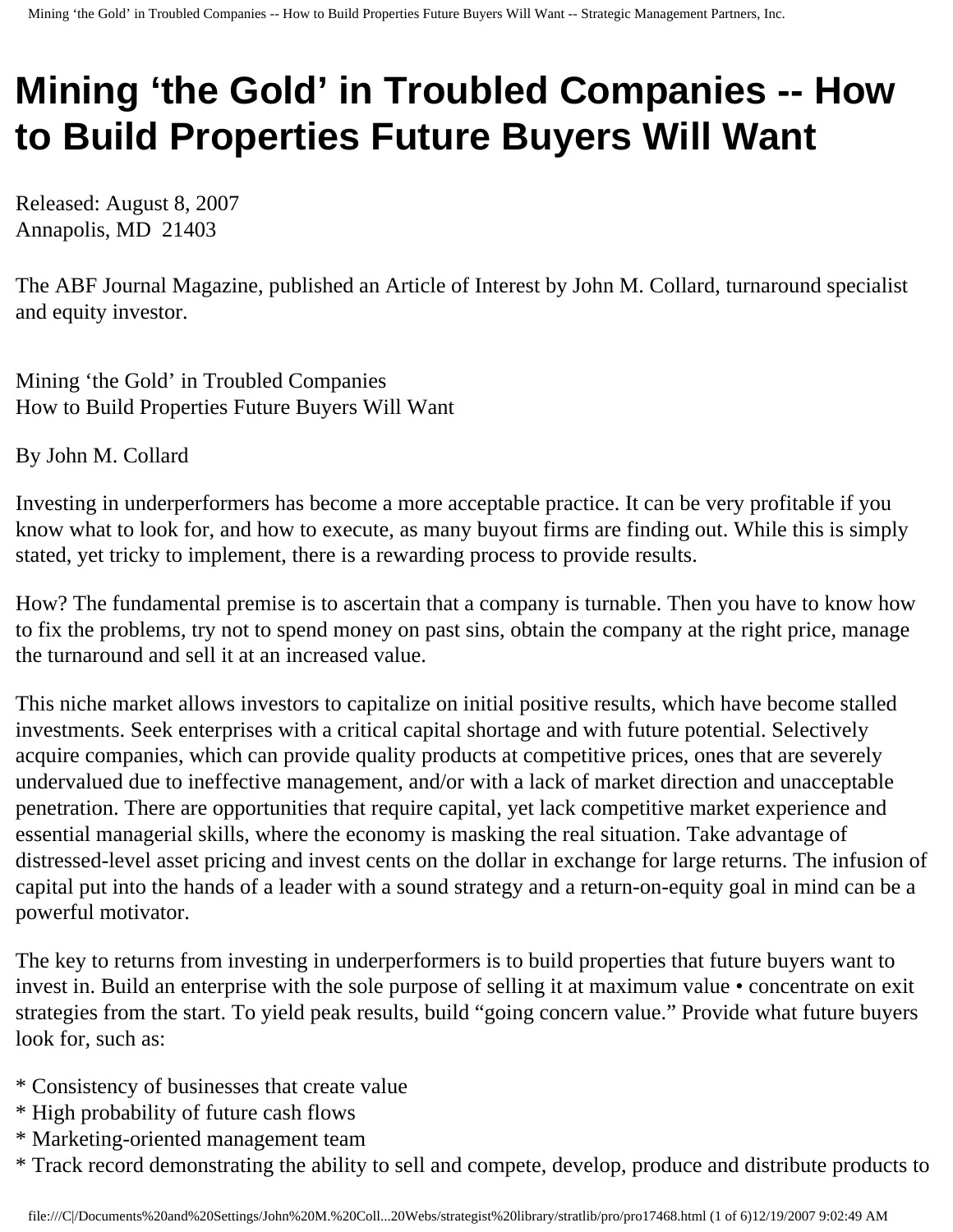# **Mining 'the Gold' in Troubled Companies -- How to Build Properties Future Buyers Will Want**

Released: August 8, 2007 Annapolis, MD 21403

The ABF Journal Magazine, published an Article of Interest by John M. Collard, turnaround specialist and equity investor.

Mining 'the Gold' in Troubled Companies How to Build Properties Future Buyers Will Want

By John M. Collard

Investing in underperformers has become a more acceptable practice. It can be very profitable if you know what to look for, and how to execute, as many buyout firms are finding out. While this is simply stated, yet tricky to implement, there is a rewarding process to provide results.

How? The fundamental premise is to ascertain that a company is turnable. Then you have to know how to fix the problems, try not to spend money on past sins, obtain the company at the right price, manage the turnaround and sell it at an increased value.

This niche market allows investors to capitalize on initial positive results, which have become stalled investments. Seek enterprises with a critical capital shortage and with future potential. Selectively acquire companies, which can provide quality products at competitive prices, ones that are severely undervalued due to ineffective management, and/or with a lack of market direction and unacceptable penetration. There are opportunities that require capital, yet lack competitive market experience and essential managerial skills, where the economy is masking the real situation. Take advantage of distressed-level asset pricing and invest cents on the dollar in exchange for large returns. The infusion of capital put into the hands of a leader with a sound strategy and a return-on-equity goal in mind can be a powerful motivator.

The key to returns from investing in underperformers is to build properties that future buyers want to invest in. Build an enterprise with the sole purpose of selling it at maximum value • concentrate on exit strategies from the start. To yield peak results, build "going concern value." Provide what future buyers look for, such as:

- \* Consistency of businesses that create value
- \* High probability of future cash flows
- \* Marketing-oriented management team
- \* Track record demonstrating the ability to sell and compete, develop, produce and distribute products to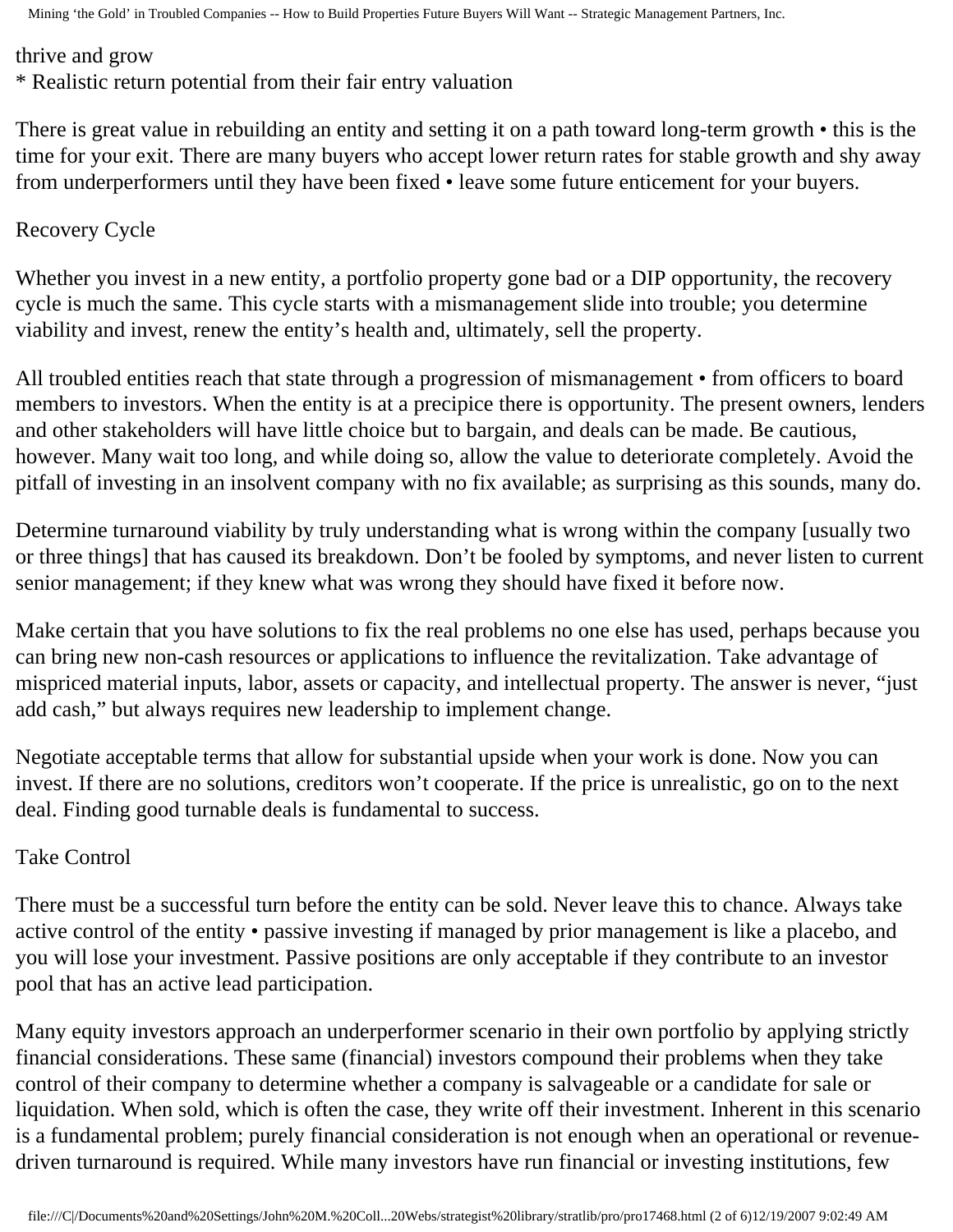thrive and grow

\* Realistic return potential from their fair entry valuation

There is great value in rebuilding an entity and setting it on a path toward long-term growth • this is the time for your exit. There are many buyers who accept lower return rates for stable growth and shy away from underperformers until they have been fixed • leave some future enticement for your buyers.

## Recovery Cycle

Whether you invest in a new entity, a portfolio property gone bad or a DIP opportunity, the recovery cycle is much the same. This cycle starts with a mismanagement slide into trouble; you determine viability and invest, renew the entity's health and, ultimately, sell the property.

All troubled entities reach that state through a progression of mismanagement • from officers to board members to investors. When the entity is at a precipice there is opportunity. The present owners, lenders and other stakeholders will have little choice but to bargain, and deals can be made. Be cautious, however. Many wait too long, and while doing so, allow the value to deteriorate completely. Avoid the pitfall of investing in an insolvent company with no fix available; as surprising as this sounds, many do.

Determine turnaround viability by truly understanding what is wrong within the company [usually two or three things] that has caused its breakdown. Don't be fooled by symptoms, and never listen to current senior management; if they knew what was wrong they should have fixed it before now.

Make certain that you have solutions to fix the real problems no one else has used, perhaps because you can bring new non-cash resources or applications to influence the revitalization. Take advantage of mispriced material inputs, labor, assets or capacity, and intellectual property. The answer is never, "just add cash," but always requires new leadership to implement change.

Negotiate acceptable terms that allow for substantial upside when your work is done. Now you can invest. If there are no solutions, creditors won't cooperate. If the price is unrealistic, go on to the next deal. Finding good turnable deals is fundamental to success.

#### Take Control

There must be a successful turn before the entity can be sold. Never leave this to chance. Always take active control of the entity • passive investing if managed by prior management is like a placebo, and you will lose your investment. Passive positions are only acceptable if they contribute to an investor pool that has an active lead participation.

Many equity investors approach an underperformer scenario in their own portfolio by applying strictly financial considerations. These same (financial) investors compound their problems when they take control of their company to determine whether a company is salvageable or a candidate for sale or liquidation. When sold, which is often the case, they write off their investment. Inherent in this scenario is a fundamental problem; purely financial consideration is not enough when an operational or revenuedriven turnaround is required. While many investors have run financial or investing institutions, few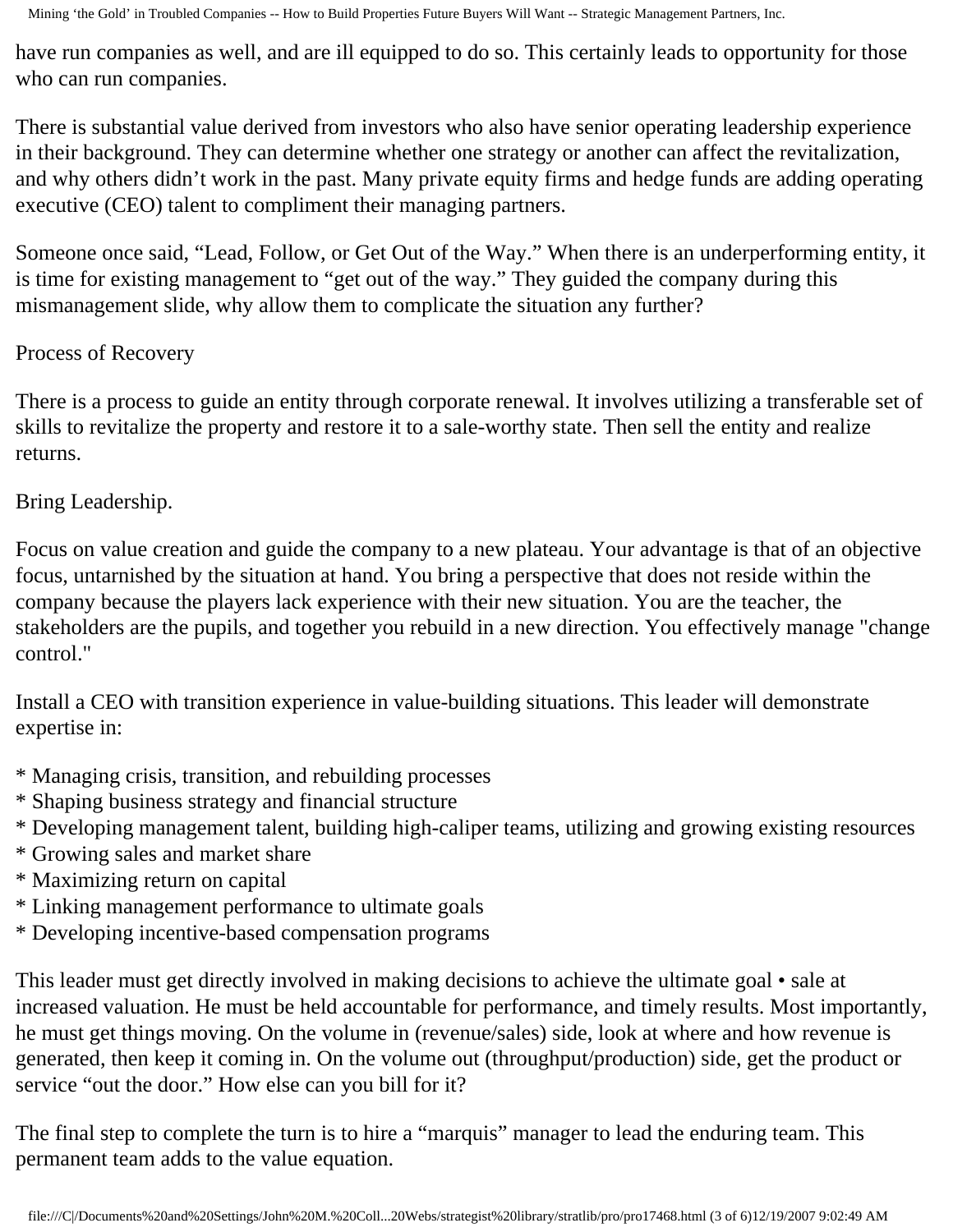have run companies as well, and are ill equipped to do so. This certainly leads to opportunity for those who can run companies.

There is substantial value derived from investors who also have senior operating leadership experience in their background. They can determine whether one strategy or another can affect the revitalization, and why others didn't work in the past. Many private equity firms and hedge funds are adding operating executive (CEO) talent to compliment their managing partners.

Someone once said, "Lead, Follow, or Get Out of the Way." When there is an underperforming entity, it is time for existing management to "get out of the way." They guided the company during this mismanagement slide, why allow them to complicate the situation any further?

# Process of Recovery

There is a process to guide an entity through corporate renewal. It involves utilizing a transferable set of skills to revitalize the property and restore it to a sale-worthy state. Then sell the entity and realize returns.

# Bring Leadership.

Focus on value creation and guide the company to a new plateau. Your advantage is that of an objective focus, untarnished by the situation at hand. You bring a perspective that does not reside within the company because the players lack experience with their new situation. You are the teacher, the stakeholders are the pupils, and together you rebuild in a new direction. You effectively manage "change control."

Install a CEO with transition experience in value-building situations. This leader will demonstrate expertise in:

- \* Managing crisis, transition, and rebuilding processes
- \* Shaping business strategy and financial structure
- \* Developing management talent, building high-caliper teams, utilizing and growing existing resources
- \* Growing sales and market share
- \* Maximizing return on capital
- \* Linking management performance to ultimate goals
- \* Developing incentive-based compensation programs

This leader must get directly involved in making decisions to achieve the ultimate goal • sale at increased valuation. He must be held accountable for performance, and timely results. Most importantly, he must get things moving. On the volume in (revenue/sales) side, look at where and how revenue is generated, then keep it coming in. On the volume out (throughput/production) side, get the product or service "out the door." How else can you bill for it?

The final step to complete the turn is to hire a "marquis" manager to lead the enduring team. This permanent team adds to the value equation.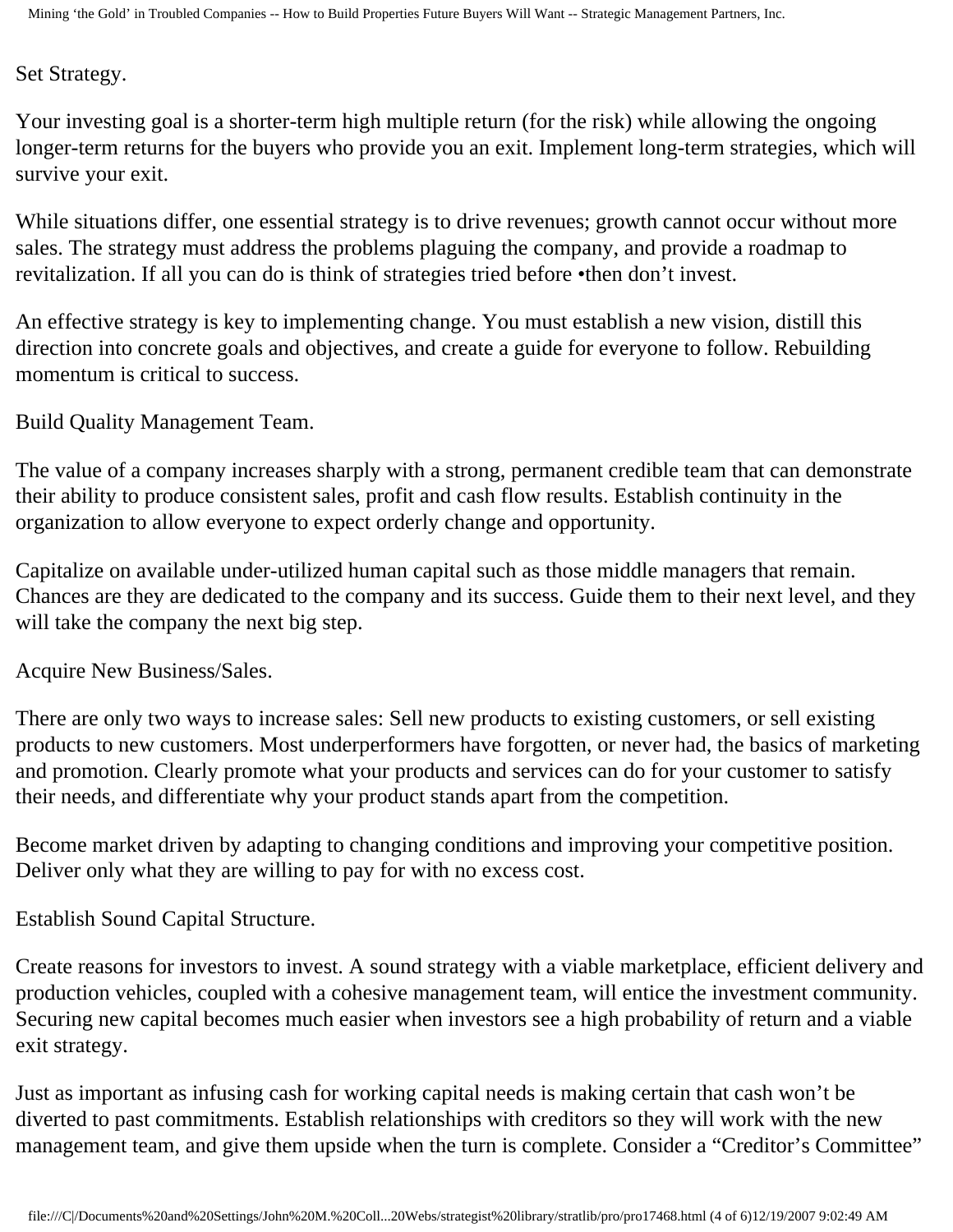Set Strategy.

Your investing goal is a shorter-term high multiple return (for the risk) while allowing the ongoing longer-term returns for the buyers who provide you an exit. Implement long-term strategies, which will survive your exit.

While situations differ, one essential strategy is to drive revenues; growth cannot occur without more sales. The strategy must address the problems plaguing the company, and provide a roadmap to revitalization. If all you can do is think of strategies tried before •then don't invest.

An effective strategy is key to implementing change. You must establish a new vision, distill this direction into concrete goals and objectives, and create a guide for everyone to follow. Rebuilding momentum is critical to success.

Build Quality Management Team.

The value of a company increases sharply with a strong, permanent credible team that can demonstrate their ability to produce consistent sales, profit and cash flow results. Establish continuity in the organization to allow everyone to expect orderly change and opportunity.

Capitalize on available under-utilized human capital such as those middle managers that remain. Chances are they are dedicated to the company and its success. Guide them to their next level, and they will take the company the next big step.

Acquire New Business/Sales.

There are only two ways to increase sales: Sell new products to existing customers, or sell existing products to new customers. Most underperformers have forgotten, or never had, the basics of marketing and promotion. Clearly promote what your products and services can do for your customer to satisfy their needs, and differentiate why your product stands apart from the competition.

Become market driven by adapting to changing conditions and improving your competitive position. Deliver only what they are willing to pay for with no excess cost.

Establish Sound Capital Structure.

Create reasons for investors to invest. A sound strategy with a viable marketplace, efficient delivery and production vehicles, coupled with a cohesive management team, will entice the investment community. Securing new capital becomes much easier when investors see a high probability of return and a viable exit strategy.

Just as important as infusing cash for working capital needs is making certain that cash won't be diverted to past commitments. Establish relationships with creditors so they will work with the new management team, and give them upside when the turn is complete. Consider a "Creditor's Committee"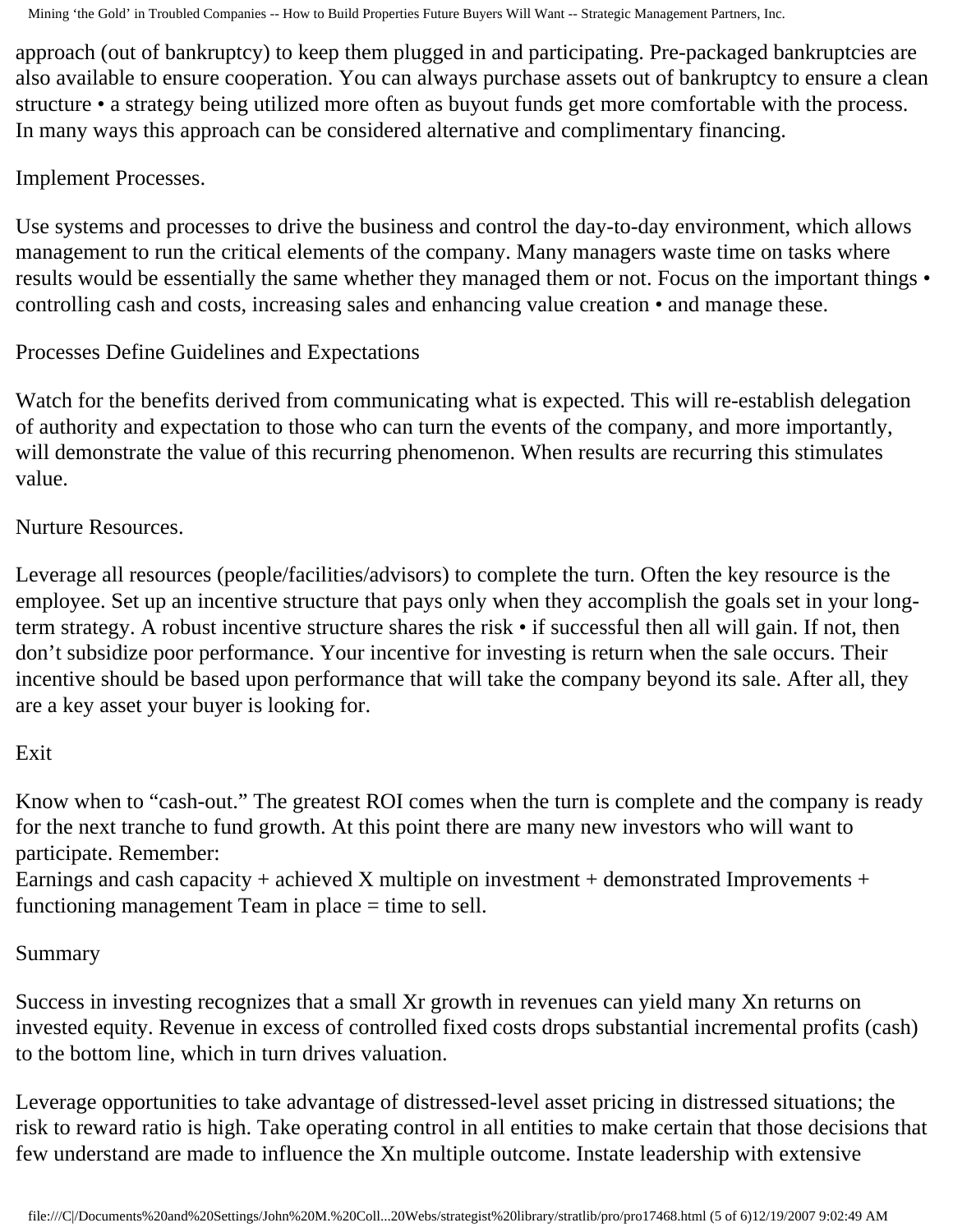approach (out of bankruptcy) to keep them plugged in and participating. Pre-packaged bankruptcies are also available to ensure cooperation. You can always purchase assets out of bankruptcy to ensure a clean structure • a strategy being utilized more often as buyout funds get more comfortable with the process. In many ways this approach can be considered alternative and complimentary financing.

## Implement Processes.

Use systems and processes to drive the business and control the day-to-day environment, which allows management to run the critical elements of the company. Many managers waste time on tasks where results would be essentially the same whether they managed them or not. Focus on the important things • controlling cash and costs, increasing sales and enhancing value creation • and manage these.

## Processes Define Guidelines and Expectations

Watch for the benefits derived from communicating what is expected. This will re-establish delegation of authority and expectation to those who can turn the events of the company, and more importantly, will demonstrate the value of this recurring phenomenon. When results are recurring this stimulates value.

## Nurture Resources.

Leverage all resources (people/facilities/advisors) to complete the turn. Often the key resource is the employee. Set up an incentive structure that pays only when they accomplish the goals set in your longterm strategy. A robust incentive structure shares the risk • if successful then all will gain. If not, then don't subsidize poor performance. Your incentive for investing is return when the sale occurs. Their incentive should be based upon performance that will take the company beyond its sale. After all, they are a key asset your buyer is looking for.

#### Exit

Know when to "cash-out." The greatest ROI comes when the turn is complete and the company is ready for the next tranche to fund growth. At this point there are many new investors who will want to participate. Remember:

Earnings and cash capacity + achieved X multiple on investment + demonstrated Improvements + functioning management Team in place  $=$  time to sell.

#### Summary

Success in investing recognizes that a small Xr growth in revenues can yield many Xn returns on invested equity. Revenue in excess of controlled fixed costs drops substantial incremental profits (cash) to the bottom line, which in turn drives valuation.

Leverage opportunities to take advantage of distressed-level asset pricing in distressed situations; the risk to reward ratio is high. Take operating control in all entities to make certain that those decisions that few understand are made to influence the Xn multiple outcome. Instate leadership with extensive